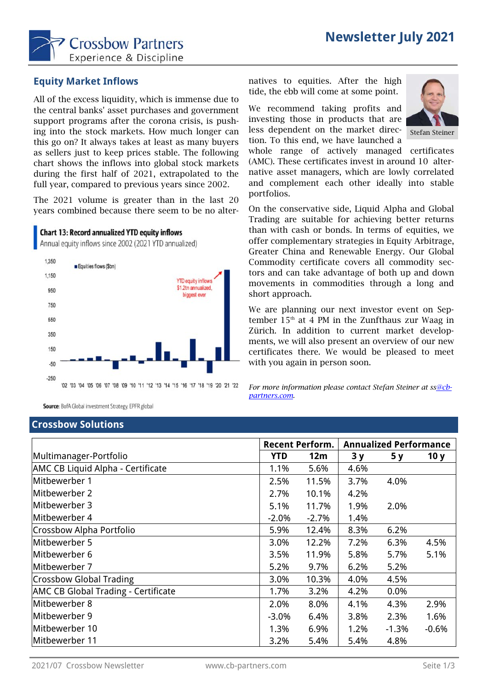

## **Equity Market Inflows**

All of the excess liquidity, which is immense due to the central banks' asset purchases and government support programs after the corona crisis, is pushing into the stock markets. How much longer can this go on? It always takes at least as many buyers as sellers just to keep prices stable. The following chart shows the inflows into global stock markets during the first half of 2021, extrapolated to the full year, compared to previous years since 2002.

The 2021 volume is greater than in the last 20 years combined because there seem to be no alter-

#### **Chart 13: Record annualized YTD equity inflows**

Annual equity inflows since 2002 (2021 YTD annualized)



Source: BofA Global investment Strategy, EPFR global

# **Crossbow Solutions**

natives to equities. After the high tide, the ebb will come at some point.

We recommend taking profits and investing those in products that are less dependent on the market direction. To this end, we have launched a



whole range of actively managed certificates (AMC). These certificates invest in around 10 alternative asset managers, which are lowly correlated and complement each other ideally into stable portfolios.

On the conservative side, Liquid Alpha and Global Trading are suitable for achieving better returns than with cash or bonds. In terms of equities, we offer complementary strategies in Equity Arbitrage, Greater China and Renewable Energy. Our Global Commodity certificate covers all commodity sectors and can take advantage of both up and down movements in commodities through a long and short approach.

We are planning our next investor event on September  $15<sup>th</sup>$  at 4 PM in the Zunfthaus zur Waag in Zürich. In addition to current market developments, we will also present an overview of our new certificates there. We would be pleased to meet with you again in person soon.

*For more information please contact Stefan Steiner at ss@cbpartners.com.* 

|                                            | <b>Recent Perform.</b> |         | <b>Annualized Performance</b> |         |                 |
|--------------------------------------------|------------------------|---------|-------------------------------|---------|-----------------|
| Multimanager-Portfolio                     | <b>YTD</b>             | 12m     | 3y                            | 5y      | 10 <sub>y</sub> |
| AMC CB Liquid Alpha - Certificate          | 1.1%                   | 5.6%    | 4.6%                          |         |                 |
| Mitbewerber 1                              | 2.5%                   | 11.5%   | 3.7%                          | 4.0%    |                 |
| Mitbewerber 2                              | 2.7%                   | 10.1%   | 4.2%                          |         |                 |
| Mitbewerber 3                              | 5.1%                   | 11.7%   | 1.9%                          | 2.0%    |                 |
| Mitbewerber 4                              | $-2.0%$                | $-2.7%$ | 1.4%                          |         |                 |
| Crossbow Alpha Portfolio                   | 5.9%                   | 12.4%   | 8.3%                          | 6.2%    |                 |
| Mitbewerber 5                              | 3.0%                   | 12.2%   | 7.2%                          | 6.3%    | 4.5%            |
| Mitbewerber 6                              | 3.5%                   | 11.9%   | 5.8%                          | 5.7%    | 5.1%            |
| Mitbewerber 7                              | 5.2%                   | 9.7%    | 6.2%                          | 5.2%    |                 |
| <b>Crossbow Global Trading</b>             | 3.0%                   | 10.3%   | 4.0%                          | 4.5%    |                 |
| <b>AMC CB Global Trading - Certificate</b> | 1.7%                   | 3.2%    | 4.2%                          | 0.0%    |                 |
| Mitbewerber 8                              | 2.0%                   | 8.0%    | 4.1%                          | 4.3%    | 2.9%            |
| Mitbewerber 9                              | $-3.0%$                | 6.4%    | 3.8%                          | 2.3%    | 1.6%            |
| Mitbewerber 10                             | 1.3%                   | 6.9%    | 1.2%                          | $-1.3%$ | $-0.6%$         |
| Mitbewerber 11                             | 3.2%                   | 5.4%    | 5.4%                          | 4.8%    |                 |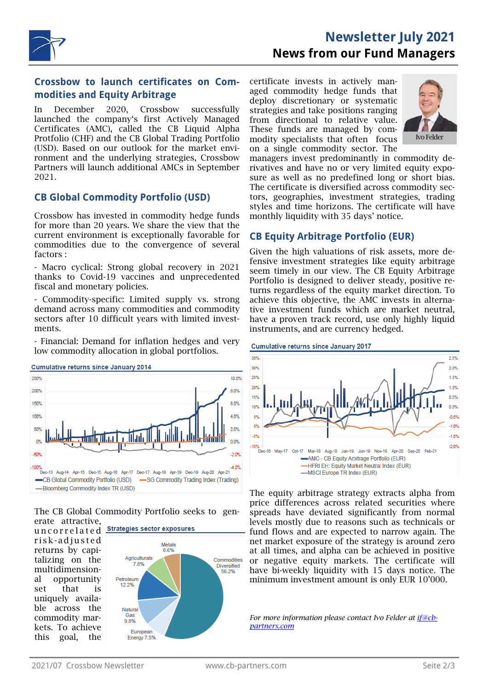

#### **Crossbow to launch certificates on Commodities and Equity Arbitrage**

In December 2020, Crossbow successfully launched the company's first Actively Managed Certificates (AMC), called the CB Liquid Alpha Protfolio (CHF) and the CB Global Trading Portfolio (USD). Based on our outlook for the market environment and the underlying strategies, Crossbow Partners will launch additional AMCs in September 2021.

## **CB Global Commodity Portfolio (USD)**

Crossbow has invested in commodity hedge funds for more than 20 years. We share the view that the current environment is exceptionally favorable for commodities due to the convergence of several factors :

- Macro cyclical: Strong global recovery in 2021 thanks to Covid-19 vaccines and unprecedented fiscal and monetary policies.

- Commodity-specific: Limited supply vs. strong demand across many commodities and commodity sectors after 10 difficult years with limited investments.

- Financial: Demand for inflation hedges and very low commodity allocation in global portfolios.



The CB Global Commodity Portfolio seeks to gen-

erate attractive, un corre la te d strategies sector exposures risk-adju sted returns by capitalizing on the multidimensional opportunity set that is uniquely available across the commodity markets. To achieve this goal, the



certificate invests in actively managed commodity hedge funds that deploy discretionary or systematic strategies and take positions ranging from directional to relative value. These funds are managed by commodity specialists that often focus on a single commodity sector. The



managers invest predominantly in commodity derivatives and have no or very limited equity exposure as well as no predefined long or short bias. The certificate is diversified across commodity sectors, geographies, investment strategies, trading styles and time horizons. The certificate will have monthly liquidity with 35 days' notice.

## **CB Equity Arbitrage Portfolio (EUR)**

Given the high valuations of risk assets, more defensive investment strategies like equity arbitrage seem timely in our view. The CB Equity Arbitrage Portfolio is designed to deliver steady, positive returns regardless of the equity market direction. To achieve this objective, the AMC invests in alternative investment funds which are market neutral, have a proven track record, use only highly liquid instruments, and are currency hedged.

**Cumulative returns since January 2017** 



The equity arbitrage strategy extracts alpha from price differences across related securities where spreads have deviated significantly from normal levels mostly due to reasons such as technicals or fund flows and are expected to narrow again. The net market exposure of the strategy is around zero at all times, and alpha can be achieved in positive or negative equity markets. The certificate will have bi-weekly liquidity with 15 days notice. The minimum investment amount is only EUR 10'000.

*For more information please contact Ivo Felder at if@cbpartners.com*